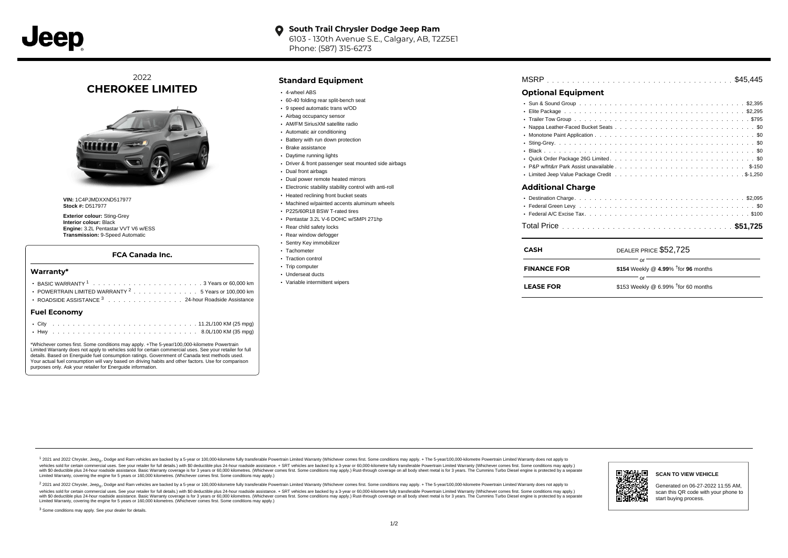

#### **South Trail Chrysler Dodge Jeep Ram**  $\bullet$ 6103 - 130th Avenue S.E., Calgary, AB, T2Z5E1 Phone: (587) 315-6273

2022 **CHEROKEE LIMITED**



**VIN:** 1C4PJMDXXND517977 **Stock #:** D517977

**Exterior colour:** Sting-Grey **Interior colour:** Black **Engine:** 3.2L Pentastar VVT V6 w/ESS **Transmission:** 9-Speed Automatic

### **FCA Canada Inc.**

#### **Warranty\***

| POWERTRAIN LIMITED WARRANTY 2 5 Years or 100,000 km  <br>ROADSIDE ASSISTANCE 3 24-hour Roadside Assistance | • Variable intermittent wipers | <b>LEASE FOR</b> | \$153 Weekly @ 6.99% $\dagger$ for 60 months |
|------------------------------------------------------------------------------------------------------------|--------------------------------|------------------|----------------------------------------------|
| <b>Fuel Economy</b>                                                                                        |                                |                  |                                              |
|                                                                                                            |                                |                  |                                              |
|                                                                                                            |                                |                  |                                              |

\*Whichever comes first. Some conditions may apply. +The 5-year/100,000-kilometre Powertrain Limited Warranty does not apply to vehicles sold for certain commercial uses. See your retailer for full details. Based on Energuide fuel consumption ratings. Government of Canada test methods used. Your actual fuel consumption will vary based on driving habits and other factors. Use for comparison purposes only. Ask your retailer for Energuide information.

# **Standard Equipment**

- 4-wheel ABS
- 60-40 folding rear split-bench seat
- 9 speed automatic trans w/OD
- Airbag occupancy sensor AM/FM SiriusXM satellite radio
- Automatic air conditioning
- Battery with run down protection
- Brake assistance
- Daytime running lights
- Driver & front passenger seat mounted side airbags
- Dual front airbags
- Dual power remote heated mirrors
- Electronic stability stability control with anti-roll
- Heated reclining front bucket seats
- Machined w/painted accents aluminum wheels
- P225/60R18 BSW T-rated tires
- Pentastar 3.2L V-6 DOHC w/SMPI 271hp
- Rear child safety locks
- Rear window defogger
- Sentry Key immobilizer
- Tachometer • Traction control
- Trip computer
- Underseat ducts
- Variable intermittent wipers

| MSRP |  |  |  |  |  |  |  |  |  |  |  |  |  |  |  |  |  |  |  |  |  |  |  |  |  |  |  |  |  |  |
|------|--|--|--|--|--|--|--|--|--|--|--|--|--|--|--|--|--|--|--|--|--|--|--|--|--|--|--|--|--|--|
|      |  |  |  |  |  |  |  |  |  |  |  |  |  |  |  |  |  |  |  |  |  |  |  |  |  |  |  |  |  |  |

# **Optional Equipment**

| the contract of the contract of the contract of the contract of the contract of the contract of the contract of |
|-----------------------------------------------------------------------------------------------------------------|

## **Additional Charge**

| <b>CASH</b>        | DEALER PRICE \$52,725                        |
|--------------------|----------------------------------------------|
| <b>FINANCE FOR</b> | Ωľ<br>\$154 Weekly @ 4.99% $†$ for 96 months |
| <b>LEASE FOR</b>   | Ωr<br>\$153 Weekly @ 6.99% $†$ for 60 months |

1 2021 and 2022 Chrysler, Jeep<sub>er</sub>, Dodge and Ram vehicles are backed by a 5-year or 100,000-kilometre fully transferable Powertrain Limited Warranty (Whichever comes first. Some conditions may apply. + The 5-year/100,000vehicles sold for certain commercial uses. See your retailer for full details.) with \$0 deductible plus 24-hour roadside assistance. + SRT vehicles are backed by a 3-year or 60,000-kilometre fully transferable Powertrain L versus and contract the mean of the contract of the contract with a contract with a contract the contract of the search of the contract and a control of the contract and contract and control of the search of the search of Limited Warranty, covering the engine for 5 years or 160,000 kilometres. (Whichever comes first. Some conditions may apply.)

<sup>2</sup> 2021 and 2022 Chrysler, Jeep<sub>®</sub>, Dodge and Ram vehicles are backed by a 5-year or 100,000-kilometre fully transferable Powertrain Limited Warranty (Whichever comes first. Some conditions may apply. + The 5-year/100,000 vehicles sold for certain commercial uses. See your retailer for full details.) with SO deductible plus 24-hour roadside assistance. + SRT vehicles are backed by a 3-year or 60.000-kilometre fully transferable Powertrain L with S0 deductible plus 24-hour roadside assistance. Basic Warranty coverage is for 3 years or 60,000 kilometres. (Whichever comes first. Some conditions may apply.) Rust-through coverage on all body sheet metal is for 3 y



**SCAN TO VIEW VEHICLE**

Generated on 06-27-2022 11:55 AM, scan this QR code with your phone to start buying process.